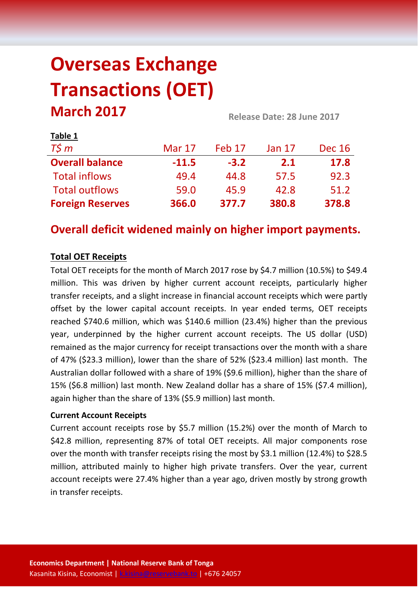# **Overseas Exchange Transactions (OET) March 2017 Release Date: 28 June <sup>2017</sup>**

| LANIC T                 |               |        |               |               |  |
|-------------------------|---------------|--------|---------------|---------------|--|
| $T\zeta m$              | <b>Mar 17</b> | Feb 17 | <b>Jan 17</b> | <b>Dec 16</b> |  |
| <b>Overall balance</b>  | $-11.5$       | $-3.2$ | 2.1           | 17.8          |  |
| <b>Total inflows</b>    | 49.4          | 44.8   | 57.5          | 92.3          |  |
| <b>Total outflows</b>   | 59.0          | 45.9   | 42.8          | 51.2          |  |
| <b>Foreign Reserves</b> | 366.0         | 377.7  | 380.8         | 378.8         |  |

# **Overall deficit widened mainly on higher import payments.**

# **Total OET Receipts**

**Table 1**

Total OET receipts for the month of March 2017 rose by \$4.7 million (10.5%) to \$49.4 million. This was driven by higher current account receipts, particularly higher transfer receipts, and a slight increase in financial account receipts which were partly offset by the lower capital account receipts. In year ended terms, OET receipts reached \$740.6 million, which was \$140.6 million (23.4%) higher than the previous year, underpinned by the higher current account receipts. The US dollar (USD) remained as the major currency for receipt transactions over the month with a share of 47% (\$23.3 million), lower than the share of 52% (\$23.4 million) last month. The Australian dollar followed with a share of 19% (\$9.6 million), higher than the share of 15% (\$6.8 million) last month. New Zealand dollar has a share of 15% (\$7.4 million), again higher than the share of 13% (\$5.9 million) last month.

#### **Current Account Receipts**

Current account receipts rose by \$5.7 million (15.2%) over the month of March to \$42.8 million, representing 87% of total OET receipts. All major components rose over the month with transfer receipts rising the most by \$3.1 million (12.4%) to \$28.5 million, attributed mainly to higher high private transfers. Over the year, current account receipts were 27.4% higher than a year ago, driven mostly by strong growth in transfer receipts.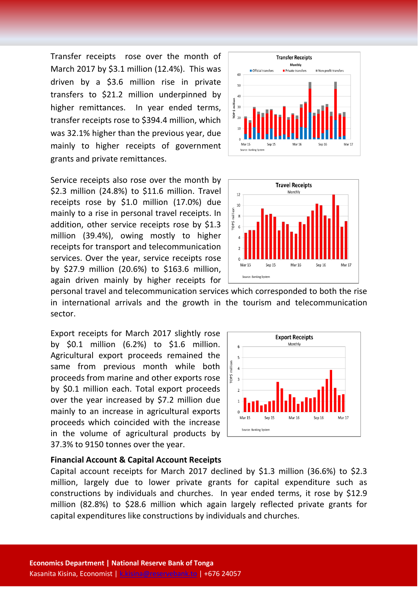Transfer receipts rose over the month of March 2017 by \$3.1 million (12.4%). This was driven by a \$3.6 million rise in private transfers to \$21.2 million underpinned by higher remittances. In year ended terms, transfer receipts rose to \$394.4 million, which was 32.1% higher than the previous year, due mainly to higher receipts of government grants and private remittances.

Service receipts also rose over the month by \$2.3 million (24.8%) to \$11.6 million. Travel receipts rose by \$1.0 million (17.0%) due mainly to a rise in personal travel receipts. In addition, other service receipts rose by \$1.3 million (39.4%), owing mostly to higher receipts for transport and telecommunication services. Over the year, service receipts rose by \$27.9 million (20.6%) to \$163.6 million, again driven mainly by higher receipts for





personal travel and telecommunication services which corresponded to both the rise in international arrivals and the growth in the tourism and telecommunication sector.

Export receipts for March 2017 slightly rose by \$0.1 million (6.2%) to \$1.6 million. Agricultural export proceeds remained the same from previous month while both proceeds from marine and other exports rose by \$0.1 million each. Total export proceeds over the year increased by \$7.2 million due mainly to an increase in agricultural exports proceeds which coincided with the increase in the volume of agricultural products by 37.3% to 9150 tonnes over the year.



#### **Financial Account & Capital Account Receipts**

Capital account receipts for March 2017 declined by \$1.3 million (36.6%) to \$2.3 million, largely due to lower private grants for capital expenditure such as constructions by individuals and churches. In year ended terms, it rose by \$12.9 million (82.8%) to \$28.6 million which again largely reflected private grants for capital expenditures like constructions by individuals and churches.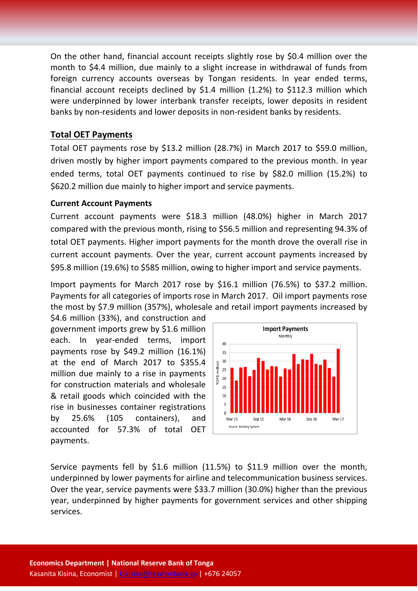On the other hand, financial account receipts slightly rose by \$0.4 million over the month to \$4.4 million, due mainly to a slight increase in withdrawal of funds from foreign currency accounts overseas by Tongan residents. In year ended terms, financial account receipts declined by \$1.4 million (1.2%) to \$112.3 million which were underpinned by lower interbank transfer receipts, lower deposits in resident banks by non-residents and lower deposits in non-resident banks by residents.

## **Total OET Payments**

Total OET payments rose by \$13.2 million (28.7%) in March 2017 to \$59.0 million, driven mostly by higher import payments compared to the previous month. In year ended terms, total OET payments continued to rise by \$82.0 million (15.2%) to \$620.2 million due mainly to higher import and service payments.

#### **Current Account Payments**

Current account payments were \$18.3 million (48.0%) higher in March 2017 compared with the previous month, rising to \$56.5 million and representing 94.3% of total OET payments. Higher import payments for the month drove the overall rise in current account payments. Over the year, current account payments increased by \$95.8 million (19.6%) to \$585 million, owing to higher import and service payments.

Import payments for March 2017 rose by \$16.1 million (76.5%) to \$37.2 million. Payments for all categories of imports rose in March 2017. Oil import payments rose the most by \$7.9 million (357%), wholesale and retail import payments increased by

\$4.6 million (33%), and construction and government imports grew by \$1.6 million each. In year-ended terms, import payments rose by \$49.2 million (16.1%) at the end of March 2017 to \$355.4 million due mainly to a rise in payments for construction materials and wholesale & retail goods which coincided with the rise in businesses container registrations by 25.6% (105 containers), and accounted for 57.3% of total OET payments.



Service payments fell by \$1.6 million (11.5%) to \$11.9 million over the month, underpinned by lower payments for airline and telecommunication business services. Over the year, service payments were \$33.7 million (30.0%) higher than the previous year, underpinned by higher payments for government services and other shipping services.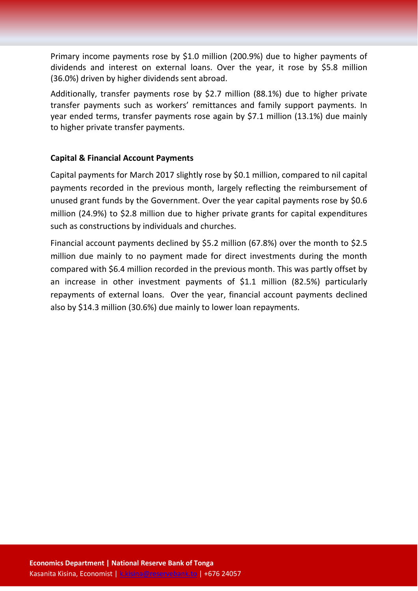Primary income payments rose by \$1.0 million (200.9%) due to higher payments of dividends and interest on external loans. Over the year, it rose by \$5.8 million (36.0%) driven by higher dividends sent abroad.

Additionally, transfer payments rose by \$2.7 million (88.1%) due to higher private transfer payments such as workers' remittances and family support payments. In year ended terms, transfer payments rose again by \$7.1 million (13.1%) due mainly to higher private transfer payments.

#### **Capital & Financial Account Payments**

Capital payments for March 2017 slightly rose by \$0.1 million, compared to nil capital payments recorded in the previous month, largely reflecting the reimbursement of unused grant funds by the Government. Over the year capital payments rose by \$0.6 million (24.9%) to \$2.8 million due to higher private grants for capital expenditures such as constructions by individuals and churches.

Financial account payments declined by \$5.2 million (67.8%) over the month to \$2.5 million due mainly to no payment made for direct investments during the month compared with \$6.4 million recorded in the previous month. This was partly offset by an increase in other investment payments of \$1.1 million (82.5%) particularly repayments of external loans. Over the year, financial account payments declined also by \$14.3 million (30.6%) due mainly to lower loan repayments.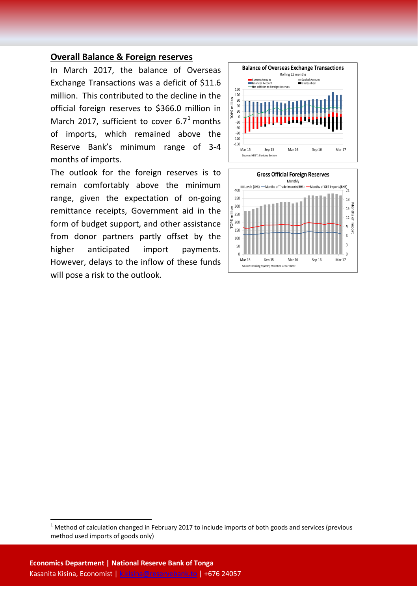#### **Overall Balance & Foreign reserves**

In March 2017, the balance of Overseas Exchange Transactions was a deficit of \$11.6 million. This contributed to the decline in the official foreign reserves to \$366.0 million in March 20[1](#page-4-0)7, sufficient to cover  $6.7^1$  months of imports, which remained above the Reserve Bank's minimum range of 3-4 months of imports.

The outlook for the foreign reserves is to remain comfortably above the minimum range, given the expectation of on-going remittance receipts, Government aid in the form of budget support, and other assistance from donor partners partly offset by the higher anticipated import payments. However, delays to the inflow of these funds will pose a risk to the outlook.





<span id="page-4-0"></span> $1$  Method of calculation changed in February 2017 to include imports of both goods and services (previous method used imports of goods only)